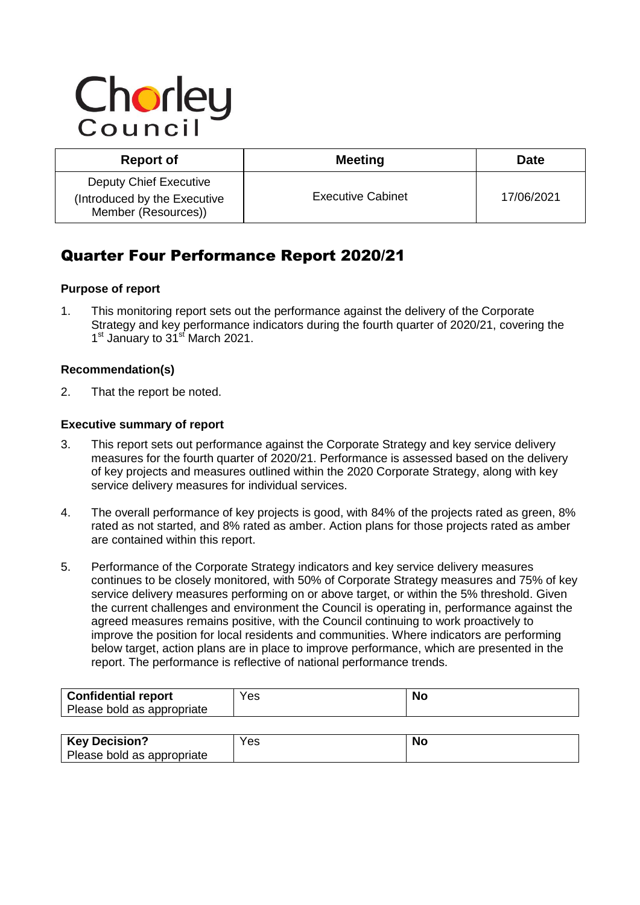# Chorley

| <b>Report of</b>                                                              | <b>Meeting</b>           | <b>Date</b> |
|-------------------------------------------------------------------------------|--------------------------|-------------|
| Deputy Chief Executive<br>(Introduced by the Executive<br>Member (Resources)) | <b>Executive Cabinet</b> | 17/06/2021  |

## Quarter Four Performance Report 2020/21

#### **Purpose of report**

1. This monitoring report sets out the performance against the delivery of the Corporate Strategy and key performance indicators during the fourth quarter of 2020/21, covering the 1<sup>st</sup> January to 31<sup>st</sup> March 2021.

#### **Recommendation(s)**

2. That the report be noted.

#### **Executive summary of report**

- 3. This report sets out performance against the Corporate Strategy and key service delivery measures for the fourth quarter of 2020/21. Performance is assessed based on the delivery of key projects and measures outlined within the 2020 Corporate Strategy, along with key service delivery measures for individual services.
- 4. The overall performance of key projects is good, with 84% of the projects rated as green, 8% rated as not started, and 8% rated as amber. Action plans for those projects rated as amber are contained within this report.
- 5. Performance of the Corporate Strategy indicators and key service delivery measures continues to be closely monitored, with 50% of Corporate Strategy measures and 75% of key service delivery measures performing on or above target, or within the 5% threshold. Given the current challenges and environment the Council is operating in, performance against the agreed measures remains positive, with the Council continuing to work proactively to improve the position for local residents and communities. Where indicators are performing below target, action plans are in place to improve performance, which are presented in the report. The performance is reflective of national performance trends.

| <b>Confidential report</b><br>Please bold as appropriate | Yes | <b>No</b> |
|----------------------------------------------------------|-----|-----------|
|                                                          |     |           |
| <b>Key Decision?</b>                                     | Yes | <b>No</b> |
| Please bold as appropriate                               |     |           |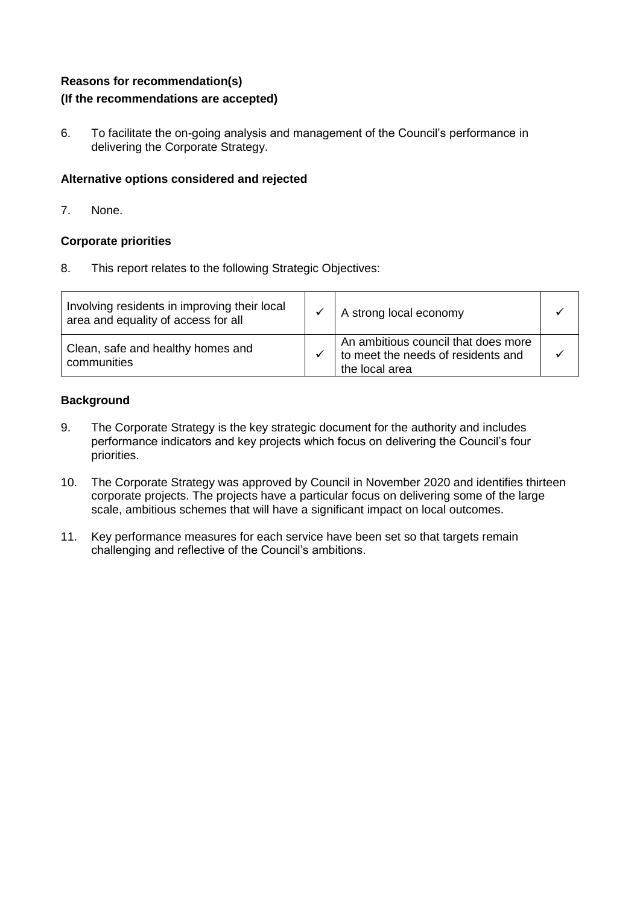#### **Reasons for recommendation(s) (If the recommendations are accepted)**

6. To facilitate the on-going analysis and management of the Council's performance in delivering the Corporate Strategy.

#### **Alternative options considered and rejected**

7. None.

#### **Corporate priorities**

8. This report relates to the following Strategic Objectives:

| Involving residents in improving their local<br>area and equality of access for all | A strong local economy                                                                      |  |
|-------------------------------------------------------------------------------------|---------------------------------------------------------------------------------------------|--|
| Clean, safe and healthy homes and<br>communities                                    | An ambitious council that does more<br>to meet the needs of residents and<br>the local area |  |

#### **Background**

- 9. The Corporate Strategy is the key strategic document for the authority and includes performance indicators and key projects which focus on delivering the Council's four priorities.
- 10. The Corporate Strategy was approved by Council in November 2020 and identifies thirteen corporate projects. The projects have a particular focus on delivering some of the large scale, ambitious schemes that will have a significant impact on local outcomes.
- 11. Key performance measures for each service have been set so that targets remain challenging and reflective of the Council's ambitions.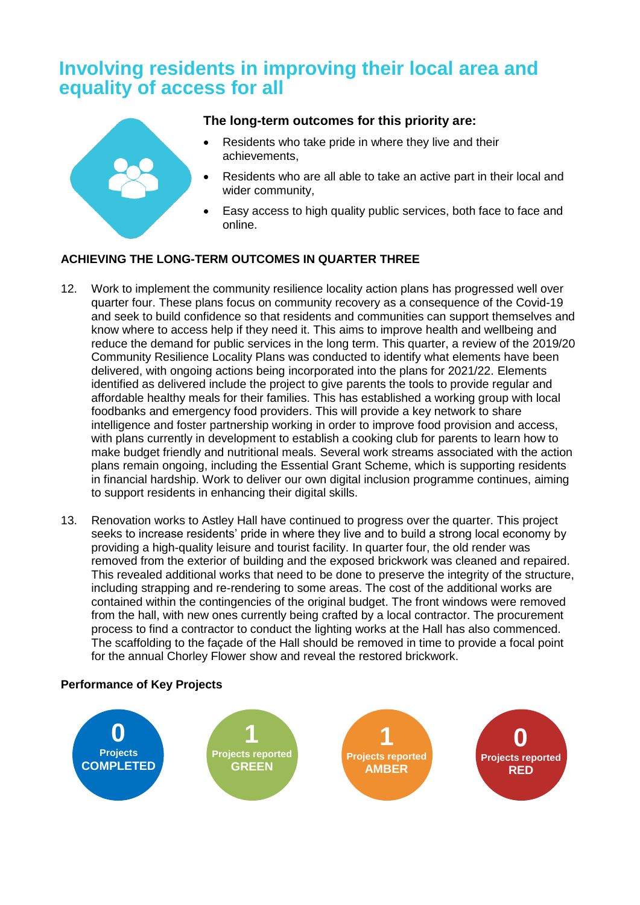## **Involving residents in improving their local area and equality of access for all**



#### **The long-term outcomes for this priority are:**

- Residents who take pride in where they live and their achievements,
- Residents who are all able to take an active part in their local and wider community,
- Easy access to high quality public services, both face to face and online.

#### **ACHIEVING THE LONG-TERM OUTCOMES IN QUARTER THREE**

- 12. Work to implement the community resilience locality action plans has progressed well over quarter four. These plans focus on community recovery as a consequence of the Covid-19 and seek to build confidence so that residents and communities can support themselves and know where to access help if they need it. This aims to improve health and wellbeing and reduce the demand for public services in the long term. This quarter, a review of the 2019/20 Community Resilience Locality Plans was conducted to identify what elements have been delivered, with ongoing actions being incorporated into the plans for 2021/22. Elements identified as delivered include the project to give parents the tools to provide regular and affordable healthy meals for their families. This has established a working group with local foodbanks and emergency food providers. This will provide a key network to share intelligence and foster partnership working in order to improve food provision and access, with plans currently in development to establish a cooking club for parents to learn how to make budget friendly and nutritional meals. Several work streams associated with the action plans remain ongoing, including the Essential Grant Scheme, which is supporting residents in financial hardship. Work to deliver our own digital inclusion programme continues, aiming to support residents in enhancing their digital skills.
- 13. Renovation works to Astley Hall have continued to progress over the quarter. This project seeks to increase residents' pride in where they live and to build a strong local economy by providing a high-quality leisure and tourist facility. In quarter four, the old render was removed from the exterior of building and the exposed brickwork was cleaned and repaired. This revealed additional works that need to be done to preserve the integrity of the structure, including strapping and re-rendering to some areas. The cost of the additional works are contained within the contingencies of the original budget. The front windows were removed from the hall, with new ones currently being crafted by a local contractor. The procurement process to find a contractor to conduct the lighting works at the Hall has also commenced. The scaffolding to the façade of the Hall should be removed in time to provide a focal point for the annual Chorley Flower show and reveal the restored brickwork.

#### **Performance of Key Projects**

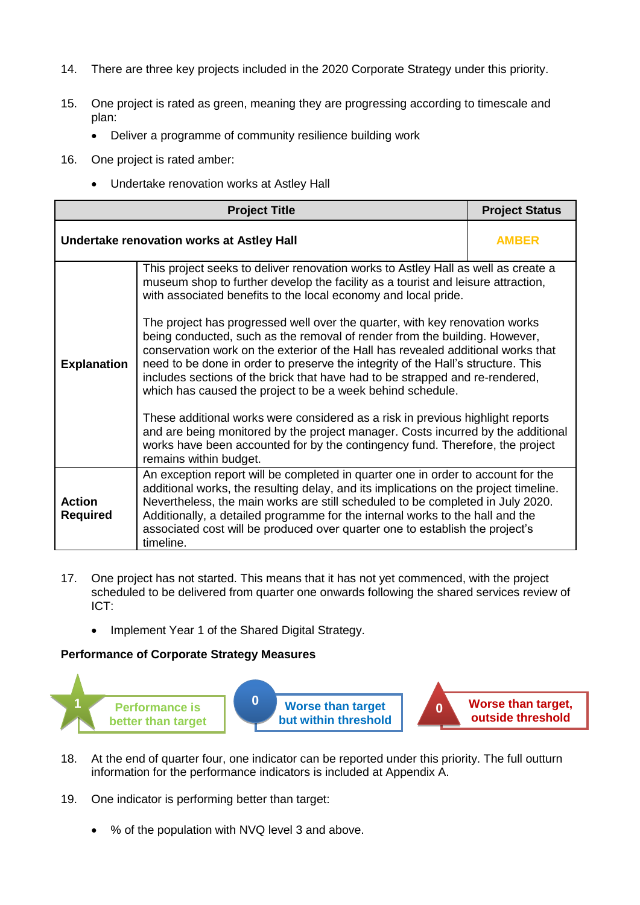- 14. There are three key projects included in the 2020 Corporate Strategy under this priority.
- 15. One project is rated as green, meaning they are progressing according to timescale and plan:
	- Deliver a programme of community resilience building work
- 16. One project is rated amber:
	- Undertake renovation works at Astley Hall

|                                  | <b>Project Title</b>                                                                                                                                                                                                                                                                                                                                                                                                                                                                                                                                                                                                                                                                                                                                                                                                                                                                                                                                                                                        | <b>Project Status</b> |  |  |
|----------------------------------|-------------------------------------------------------------------------------------------------------------------------------------------------------------------------------------------------------------------------------------------------------------------------------------------------------------------------------------------------------------------------------------------------------------------------------------------------------------------------------------------------------------------------------------------------------------------------------------------------------------------------------------------------------------------------------------------------------------------------------------------------------------------------------------------------------------------------------------------------------------------------------------------------------------------------------------------------------------------------------------------------------------|-----------------------|--|--|
|                                  | Undertake renovation works at Astley Hall<br><b>AMBER</b>                                                                                                                                                                                                                                                                                                                                                                                                                                                                                                                                                                                                                                                                                                                                                                                                                                                                                                                                                   |                       |  |  |
| <b>Explanation</b>               | This project seeks to deliver renovation works to Astley Hall as well as create a<br>museum shop to further develop the facility as a tourist and leisure attraction,<br>with associated benefits to the local economy and local pride.<br>The project has progressed well over the quarter, with key renovation works<br>being conducted, such as the removal of render from the building. However,<br>conservation work on the exterior of the Hall has revealed additional works that<br>need to be done in order to preserve the integrity of the Hall's structure. This<br>includes sections of the brick that have had to be strapped and re-rendered,<br>which has caused the project to be a week behind schedule.<br>These additional works were considered as a risk in previous highlight reports<br>and are being monitored by the project manager. Costs incurred by the additional<br>works have been accounted for by the contingency fund. Therefore, the project<br>remains within budget. |                       |  |  |
| <b>Action</b><br><b>Required</b> | An exception report will be completed in quarter one in order to account for the<br>additional works, the resulting delay, and its implications on the project timeline.<br>Nevertheless, the main works are still scheduled to be completed in July 2020.<br>Additionally, a detailed programme for the internal works to the hall and the<br>associated cost will be produced over quarter one to establish the project's<br>timeline.                                                                                                                                                                                                                                                                                                                                                                                                                                                                                                                                                                    |                       |  |  |

- 17. One project has not started. This means that it has not yet commenced, with the project scheduled to be delivered from quarter one onwards following the shared services review of ICT:
	- Implement Year 1 of the Shared Digital Strategy.



- 18. At the end of quarter four, one indicator can be reported under this priority. The full outturn information for the performance indicators is included at Appendix A.
- 19. One indicator is performing better than target:
	- % of the population with NVQ level 3 and above.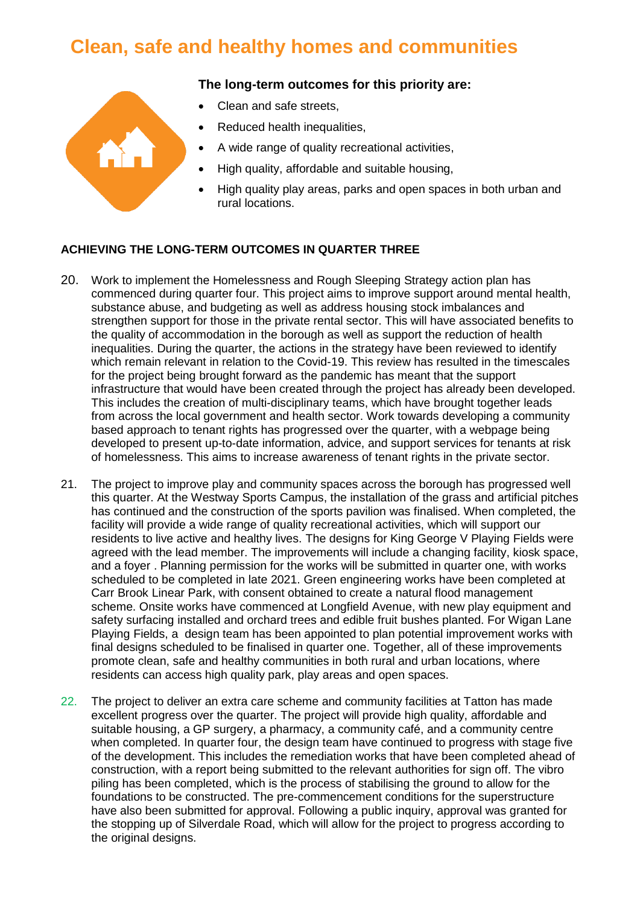## **Clean, safe and healthy homes and communities**

#### **The long-term outcomes for this priority are:**

- Clean and safe streets,
- Reduced health inequalities,
- A wide range of quality recreational activities,
- High quality, affordable and suitable housing,
- High quality play areas, parks and open spaces in both urban and rural locations.

#### **ACHIEVING THE LONG-TERM OUTCOMES IN QUARTER THREE**

- 20. Work to implement the Homelessness and Rough Sleeping Strategy action plan has commenced during quarter four. This project aims to improve support around mental health, substance abuse, and budgeting as well as address housing stock imbalances and strengthen support for those in the private rental sector. This will have associated benefits to the quality of accommodation in the borough as well as support the reduction of health inequalities. During the quarter, the actions in the strategy have been reviewed to identify which remain relevant in relation to the Covid-19. This review has resulted in the timescales for the project being brought forward as the pandemic has meant that the support infrastructure that would have been created through the project has already been developed. This includes the creation of multi-disciplinary teams, which have brought together leads from across the local government and health sector. Work towards developing a community based approach to tenant rights has progressed over the quarter, with a webpage being developed to present up-to-date information, advice, and support services for tenants at risk of homelessness. This aims to increase awareness of tenant rights in the private sector.
- 21. The project to improve play and community spaces across the borough has progressed well this quarter. At the Westway Sports Campus, the installation of the grass and artificial pitches has continued and the construction of the sports pavilion was finalised. When completed, the facility will provide a wide range of quality recreational activities, which will support our residents to live active and healthy lives. The designs for King George V Playing Fields were agreed with the lead member. The improvements will include a changing facility, kiosk space, and a foyer . Planning permission for the works will be submitted in quarter one, with works scheduled to be completed in late 2021. Green engineering works have been completed at Carr Brook Linear Park, with consent obtained to create a natural flood management scheme. Onsite works have commenced at Longfield Avenue, with new play equipment and safety surfacing installed and orchard trees and edible fruit bushes planted. For Wigan Lane Playing Fields, a design team has been appointed to plan potential improvement works with final designs scheduled to be finalised in quarter one. Together, all of these improvements promote clean, safe and healthy communities in both rural and urban locations, where residents can access high quality park, play areas and open spaces.
- 22. The project to deliver an extra care scheme and community facilities at Tatton has made excellent progress over the quarter. The project will provide high quality, affordable and suitable housing, a GP surgery, a pharmacy, a community café, and a community centre when completed. In quarter four, the design team have continued to progress with stage five of the development. This includes the remediation works that have been completed ahead of construction, with a report being submitted to the relevant authorities for sign off. The vibro piling has been completed, which is the process of stabilising the ground to allow for the foundations to be constructed. The pre-commencement conditions for the superstructure have also been submitted for approval. Following a public inquiry, approval was granted for the stopping up of Silverdale Road, which will allow for the project to progress according to the original designs.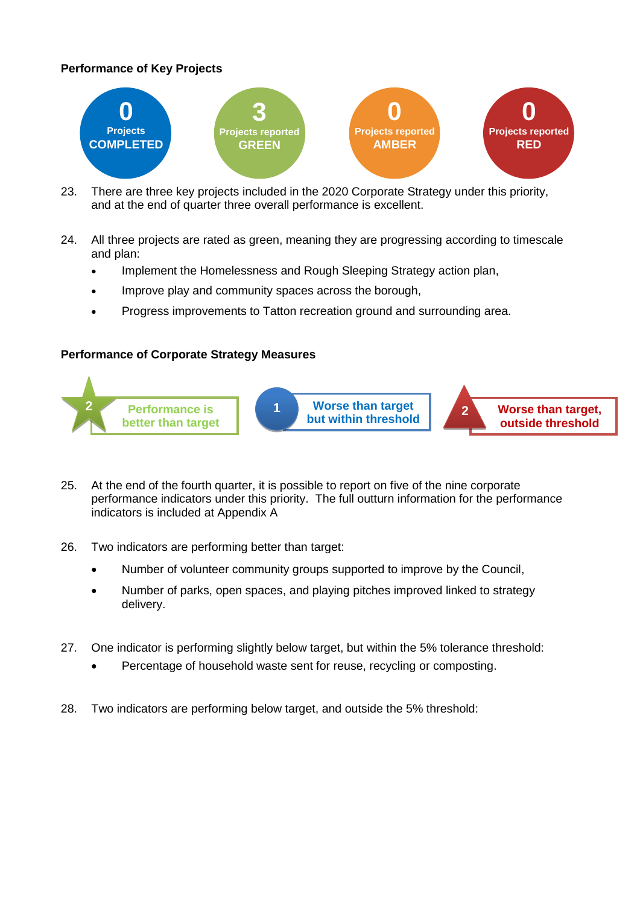#### **Performance of Key Projects**



- 23. There are three key projects included in the 2020 Corporate Strategy under this priority, and at the end of quarter three overall performance is excellent.
- 24. All three projects are rated as green, meaning they are progressing according to timescale and plan:
	- Implement the Homelessness and Rough Sleeping Strategy action plan,
	- Improve play and community spaces across the borough,
	- Progress improvements to Tatton recreation ground and surrounding area.



- 25. At the end of the fourth quarter, it is possible to report on five of the nine corporate performance indicators under this priority. The full outturn information for the performance indicators is included at Appendix A
- 26. Two indicators are performing better than target:
	- Number of volunteer community groups supported to improve by the Council,
	- Number of parks, open spaces, and playing pitches improved linked to strategy delivery.
- 27. One indicator is performing slightly below target, but within the 5% tolerance threshold:
	- Percentage of household waste sent for reuse, recycling or composting.
- 28. Two indicators are performing below target, and outside the 5% threshold: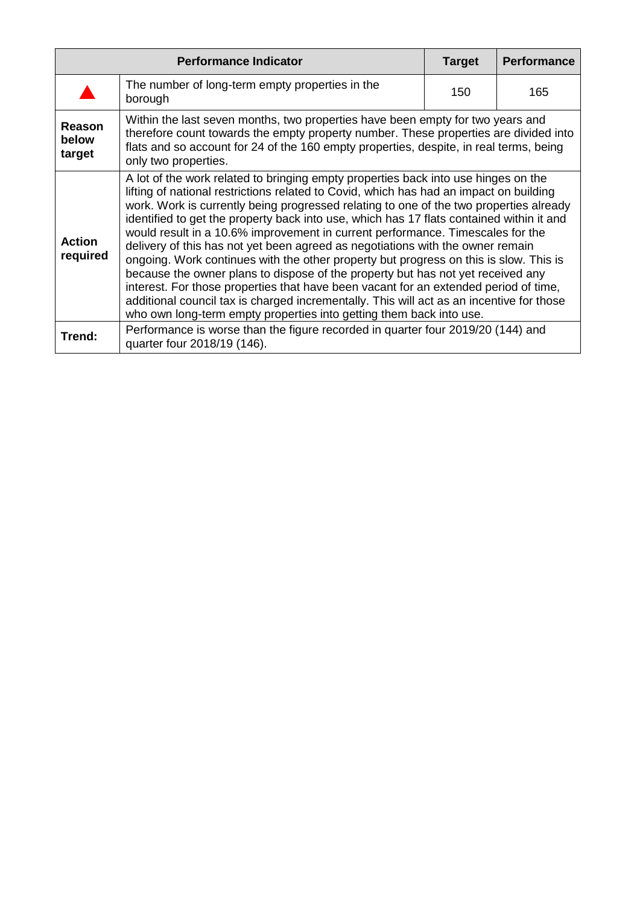| <b>Performance Indicator</b> |                                                                                                                                                                                                                                                                                                                                                                                                                                                                                                                                                                                                                                                                                                                                                                                                                                                                                                                                                                               | <b>Target</b> | <b>Performance</b> |
|------------------------------|-------------------------------------------------------------------------------------------------------------------------------------------------------------------------------------------------------------------------------------------------------------------------------------------------------------------------------------------------------------------------------------------------------------------------------------------------------------------------------------------------------------------------------------------------------------------------------------------------------------------------------------------------------------------------------------------------------------------------------------------------------------------------------------------------------------------------------------------------------------------------------------------------------------------------------------------------------------------------------|---------------|--------------------|
|                              | The number of long-term empty properties in the<br>borough                                                                                                                                                                                                                                                                                                                                                                                                                                                                                                                                                                                                                                                                                                                                                                                                                                                                                                                    | 150           | 165                |
| Reason<br>below<br>target    | Within the last seven months, two properties have been empty for two years and<br>therefore count towards the empty property number. These properties are divided into<br>flats and so account for 24 of the 160 empty properties, despite, in real terms, being<br>only two properties.                                                                                                                                                                                                                                                                                                                                                                                                                                                                                                                                                                                                                                                                                      |               |                    |
| <b>Action</b><br>required    | A lot of the work related to bringing empty properties back into use hinges on the<br>lifting of national restrictions related to Covid, which has had an impact on building<br>work. Work is currently being progressed relating to one of the two properties already<br>identified to get the property back into use, which has 17 flats contained within it and<br>would result in a 10.6% improvement in current performance. Timescales for the<br>delivery of this has not yet been agreed as negotiations with the owner remain<br>ongoing. Work continues with the other property but progress on this is slow. This is<br>because the owner plans to dispose of the property but has not yet received any<br>interest. For those properties that have been vacant for an extended period of time,<br>additional council tax is charged incrementally. This will act as an incentive for those<br>who own long-term empty properties into getting them back into use. |               |                    |
| Trend:                       | Performance is worse than the figure recorded in quarter four 2019/20 (144) and<br>quarter four 2018/19 (146).                                                                                                                                                                                                                                                                                                                                                                                                                                                                                                                                                                                                                                                                                                                                                                                                                                                                |               |                    |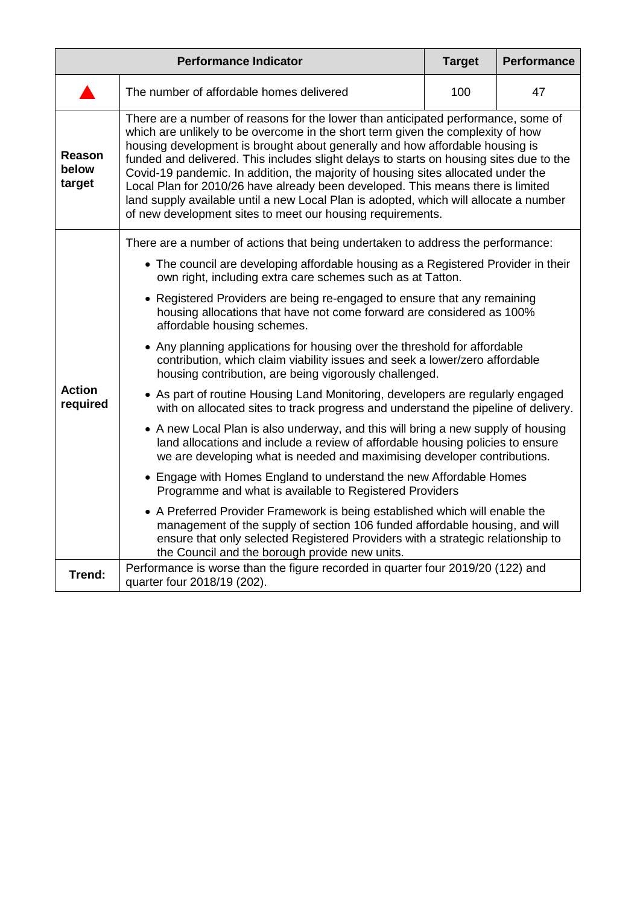| <b>Performance Indicator</b> |                                                                                                                                                                                                                                                                                                                                                                                                                                                                                                                                                                                                                                                                                | <b>Target</b> | <b>Performance</b> |  |  |
|------------------------------|--------------------------------------------------------------------------------------------------------------------------------------------------------------------------------------------------------------------------------------------------------------------------------------------------------------------------------------------------------------------------------------------------------------------------------------------------------------------------------------------------------------------------------------------------------------------------------------------------------------------------------------------------------------------------------|---------------|--------------------|--|--|
|                              | The number of affordable homes delivered                                                                                                                                                                                                                                                                                                                                                                                                                                                                                                                                                                                                                                       |               | 47                 |  |  |
| Reason<br>below<br>target    | There are a number of reasons for the lower than anticipated performance, some of<br>which are unlikely to be overcome in the short term given the complexity of how<br>housing development is brought about generally and how affordable housing is<br>funded and delivered. This includes slight delays to starts on housing sites due to the<br>Covid-19 pandemic. In addition, the majority of housing sites allocated under the<br>Local Plan for 2010/26 have already been developed. This means there is limited<br>land supply available until a new Local Plan is adopted, which will allocate a number<br>of new development sites to meet our housing requirements. |               |                    |  |  |
|                              | There are a number of actions that being undertaken to address the performance:<br>• The council are developing affordable housing as a Registered Provider in their<br>own right, including extra care schemes such as at Tatton.                                                                                                                                                                                                                                                                                                                                                                                                                                             |               |                    |  |  |
|                              | • Registered Providers are being re-engaged to ensure that any remaining<br>housing allocations that have not come forward are considered as 100%<br>affordable housing schemes.                                                                                                                                                                                                                                                                                                                                                                                                                                                                                               |               |                    |  |  |
|                              | • Any planning applications for housing over the threshold for affordable<br>contribution, which claim viability issues and seek a lower/zero affordable<br>housing contribution, are being vigorously challenged.                                                                                                                                                                                                                                                                                                                                                                                                                                                             |               |                    |  |  |
| <b>Action</b><br>required    | • As part of routine Housing Land Monitoring, developers are regularly engaged<br>with on allocated sites to track progress and understand the pipeline of delivery.                                                                                                                                                                                                                                                                                                                                                                                                                                                                                                           |               |                    |  |  |
|                              | • A new Local Plan is also underway, and this will bring a new supply of housing<br>land allocations and include a review of affordable housing policies to ensure<br>we are developing what is needed and maximising developer contributions.                                                                                                                                                                                                                                                                                                                                                                                                                                 |               |                    |  |  |
|                              | • Engage with Homes England to understand the new Affordable Homes<br>Programme and what is available to Registered Providers                                                                                                                                                                                                                                                                                                                                                                                                                                                                                                                                                  |               |                    |  |  |
|                              | • A Preferred Provider Framework is being established which will enable the<br>management of the supply of section 106 funded affordable housing, and will<br>ensure that only selected Registered Providers with a strategic relationship to<br>the Council and the borough provide new units.                                                                                                                                                                                                                                                                                                                                                                                |               |                    |  |  |
| Trend:                       | Performance is worse than the figure recorded in quarter four 2019/20 (122) and<br>quarter four 2018/19 (202).                                                                                                                                                                                                                                                                                                                                                                                                                                                                                                                                                                 |               |                    |  |  |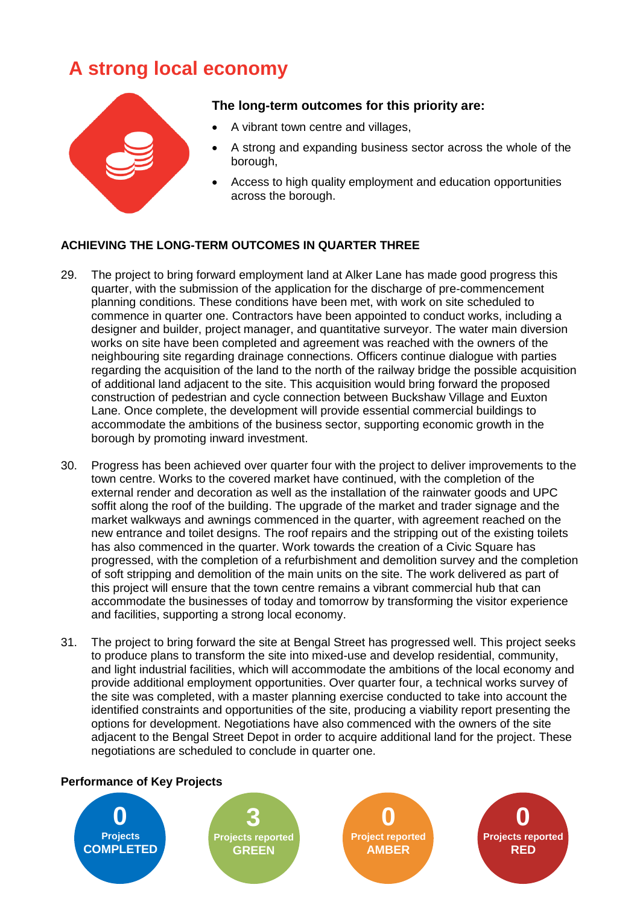## **A strong local economy**



#### **The long-term outcomes for this priority are:**

- A vibrant town centre and villages,
- A strong and expanding business sector across the whole of the borough,
- Access to high quality employment and education opportunities across the borough.

#### **ACHIEVING THE LONG-TERM OUTCOMES IN QUARTER THREE**

- 29. The project to bring forward employment land at Alker Lane has made good progress this quarter, with the submission of the application for the discharge of pre-commencement planning conditions. These conditions have been met, with work on site scheduled to commence in quarter one. Contractors have been appointed to conduct works, including a designer and builder, project manager, and quantitative surveyor. The water main diversion works on site have been completed and agreement was reached with the owners of the neighbouring site regarding drainage connections. Officers continue dialogue with parties regarding the acquisition of the land to the north of the railway bridge the possible acquisition of additional land adjacent to the site. This acquisition would bring forward the proposed construction of pedestrian and cycle connection between Buckshaw Village and Euxton Lane. Once complete, the development will provide essential commercial buildings to accommodate the ambitions of the business sector, supporting economic growth in the borough by promoting inward investment.
- 30. Progress has been achieved over quarter four with the project to deliver improvements to the town centre. Works to the covered market have continued, with the completion of the external render and decoration as well as the installation of the rainwater goods and UPC soffit along the roof of the building. The upgrade of the market and trader signage and the market walkways and awnings commenced in the quarter, with agreement reached on the new entrance and toilet designs. The roof repairs and the stripping out of the existing toilets has also commenced in the quarter. Work towards the creation of a Civic Square has progressed, with the completion of a refurbishment and demolition survey and the completion of soft stripping and demolition of the main units on the site. The work delivered as part of this project will ensure that the town centre remains a vibrant commercial hub that can accommodate the businesses of today and tomorrow by transforming the visitor experience and facilities, supporting a strong local economy.
- 31. The project to bring forward the site at Bengal Street has progressed well. This project seeks to produce plans to transform the site into mixed-use and develop residential, community, and light industrial facilities, which will accommodate the ambitions of the local economy and provide additional employment opportunities. Over quarter four, a technical works survey of the site was completed, with a master planning exercise conducted to take into account the identified constraints and opportunities of the site, producing a viability report presenting the options for development. Negotiations have also commenced with the owners of the site adjacent to the Bengal Street Depot in order to acquire additional land for the project. These negotiations are scheduled to conclude in quarter one.

#### **Performance of Key Projects**

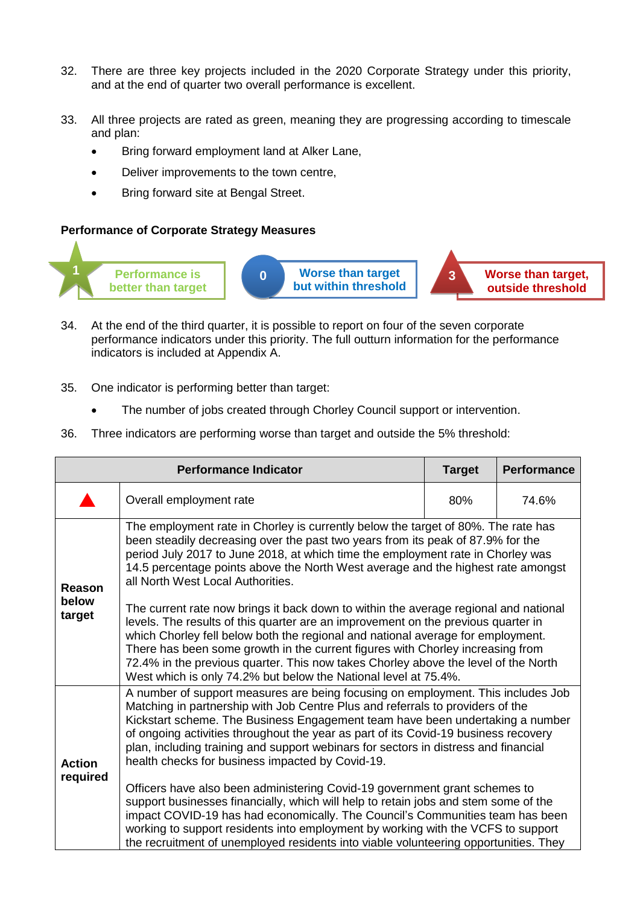- 32. There are three key projects included in the 2020 Corporate Strategy under this priority, and at the end of quarter two overall performance is excellent.
- 33. All three projects are rated as green, meaning they are progressing according to timescale and plan:
	- Bring forward employment land at Alker Lane,
	- Deliver improvements to the town centre,
	- Bring forward site at Bengal Street.



- 34. At the end of the third quarter, it is possible to report on four of the seven corporate performance indicators under this priority. The full outturn information for the performance indicators is included at Appendix A.
- 35. One indicator is performing better than target:
	- The number of jobs created through Chorley Council support or intervention.
- 36. Three indicators are performing worse than target and outside the 5% threshold:

| <b>Performance Indicator</b> |                                                                                                                                                                                                                                                                                                                                                                                                                                                                                       | <b>Target</b> | <b>Performance</b> |  |
|------------------------------|---------------------------------------------------------------------------------------------------------------------------------------------------------------------------------------------------------------------------------------------------------------------------------------------------------------------------------------------------------------------------------------------------------------------------------------------------------------------------------------|---------------|--------------------|--|
|                              | Overall employment rate                                                                                                                                                                                                                                                                                                                                                                                                                                                               | 80%           | 74.6%              |  |
| Reason<br>below              | The employment rate in Chorley is currently below the target of 80%. The rate has<br>been steadily decreasing over the past two years from its peak of 87.9% for the<br>period July 2017 to June 2018, at which time the employment rate in Chorley was<br>14.5 percentage points above the North West average and the highest rate amongst<br>all North West Local Authorities.<br>The current rate now brings it back down to within the average regional and national              |               |                    |  |
| target                       | levels. The results of this quarter are an improvement on the previous quarter in<br>which Chorley fell below both the regional and national average for employment.<br>There has been some growth in the current figures with Chorley increasing from<br>72.4% in the previous quarter. This now takes Chorley above the level of the North<br>West which is only 74.2% but below the National level at 75.4%.                                                                       |               |                    |  |
| <b>Action</b>                | A number of support measures are being focusing on employment. This includes Job<br>Matching in partnership with Job Centre Plus and referrals to providers of the<br>Kickstart scheme. The Business Engagement team have been undertaking a number<br>of ongoing activities throughout the year as part of its Covid-19 business recovery<br>plan, including training and support webinars for sectors in distress and financial<br>health checks for business impacted by Covid-19. |               |                    |  |
| required                     | Officers have also been administering Covid-19 government grant schemes to<br>support businesses financially, which will help to retain jobs and stem some of the<br>impact COVID-19 has had economically. The Council's Communities team has been<br>working to support residents into employment by working with the VCFS to support<br>the recruitment of unemployed residents into viable volunteering opportunities. They                                                        |               |                    |  |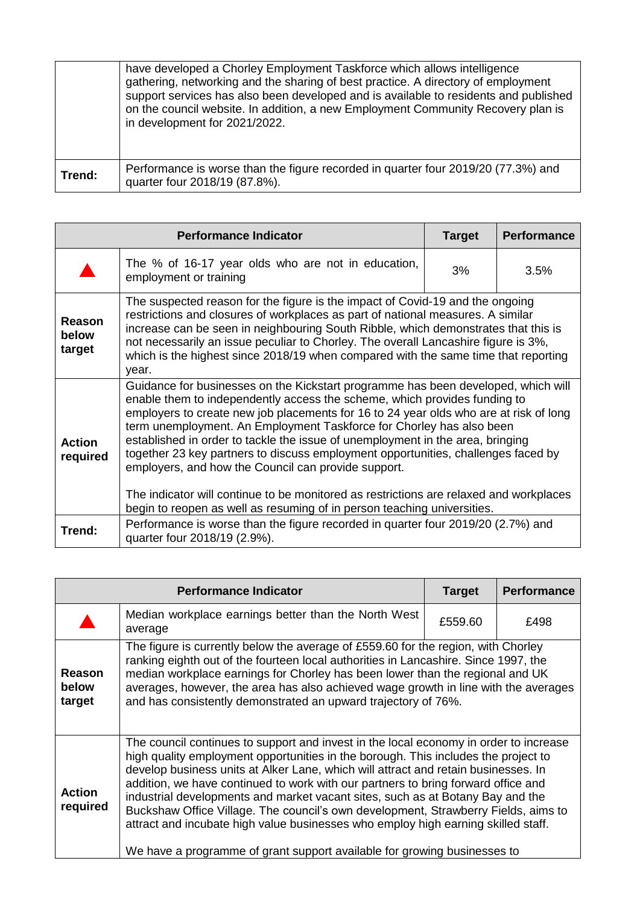|        | have developed a Chorley Employment Taskforce which allows intelligence<br>gathering, networking and the sharing of best practice. A directory of employment<br>support services has also been developed and is available to residents and published<br>on the council website. In addition, a new Employment Community Recovery plan is<br>in development for 2021/2022. |
|--------|---------------------------------------------------------------------------------------------------------------------------------------------------------------------------------------------------------------------------------------------------------------------------------------------------------------------------------------------------------------------------|
| Trend: | Performance is worse than the figure recorded in quarter four 2019/20 (77.3%) and<br>quarter four 2018/19 (87.8%).                                                                                                                                                                                                                                                        |

| <b>Performance Indicator</b> |                                                                                                                                                                                                                                                                                                                                                                                                                                                                                                                                                                                                                                                                                                                                    | <b>Target</b> | <b>Performance</b> |
|------------------------------|------------------------------------------------------------------------------------------------------------------------------------------------------------------------------------------------------------------------------------------------------------------------------------------------------------------------------------------------------------------------------------------------------------------------------------------------------------------------------------------------------------------------------------------------------------------------------------------------------------------------------------------------------------------------------------------------------------------------------------|---------------|--------------------|
|                              | The % of 16-17 year olds who are not in education,<br>employment or training                                                                                                                                                                                                                                                                                                                                                                                                                                                                                                                                                                                                                                                       | 3%            | 3.5%               |
| Reason<br>below<br>target    | The suspected reason for the figure is the impact of Covid-19 and the ongoing<br>restrictions and closures of workplaces as part of national measures. A similar<br>increase can be seen in neighbouring South Ribble, which demonstrates that this is<br>not necessarily an issue peculiar to Chorley. The overall Lancashire figure is 3%,<br>which is the highest since 2018/19 when compared with the same time that reporting<br>year.                                                                                                                                                                                                                                                                                        |               |                    |
| <b>Action</b><br>required    | Guidance for businesses on the Kickstart programme has been developed, which will<br>enable them to independently access the scheme, which provides funding to<br>employers to create new job placements for 16 to 24 year olds who are at risk of long<br>term unemployment. An Employment Taskforce for Chorley has also been<br>established in order to tackle the issue of unemployment in the area, bringing<br>together 23 key partners to discuss employment opportunities, challenges faced by<br>employers, and how the Council can provide support.<br>The indicator will continue to be monitored as restrictions are relaxed and workplaces<br>begin to reopen as well as resuming of in person teaching universities. |               |                    |
| Trend:                       | Performance is worse than the figure recorded in quarter four 2019/20 (2.7%) and<br>quarter four 2018/19 (2.9%).                                                                                                                                                                                                                                                                                                                                                                                                                                                                                                                                                                                                                   |               |                    |

|                                  | <b>Performance Indicator</b>                                                                                                                                                                                                                                                                                                                                                                                                                                                                                                                                                                                                                                                                    | <b>Target</b> | <b>Performance</b> |
|----------------------------------|-------------------------------------------------------------------------------------------------------------------------------------------------------------------------------------------------------------------------------------------------------------------------------------------------------------------------------------------------------------------------------------------------------------------------------------------------------------------------------------------------------------------------------------------------------------------------------------------------------------------------------------------------------------------------------------------------|---------------|--------------------|
|                                  | Median workplace earnings better than the North West<br>average                                                                                                                                                                                                                                                                                                                                                                                                                                                                                                                                                                                                                                 | £559.60       | £498               |
| <b>Reason</b><br>below<br>target | The figure is currently below the average of £559.60 for the region, with Chorley<br>ranking eighth out of the fourteen local authorities in Lancashire. Since 1997, the<br>median workplace earnings for Chorley has been lower than the regional and UK<br>averages, however, the area has also achieved wage growth in line with the averages<br>and has consistently demonstrated an upward trajectory of 76%.                                                                                                                                                                                                                                                                              |               |                    |
| <b>Action</b><br>required        | The council continues to support and invest in the local economy in order to increase<br>high quality employment opportunities in the borough. This includes the project to<br>develop business units at Alker Lane, which will attract and retain businesses. In<br>addition, we have continued to work with our partners to bring forward office and<br>industrial developments and market vacant sites, such as at Botany Bay and the<br>Buckshaw Office Village. The council's own development, Strawberry Fields, aims to<br>attract and incubate high value businesses who employ high earning skilled staff.<br>We have a programme of grant support available for growing businesses to |               |                    |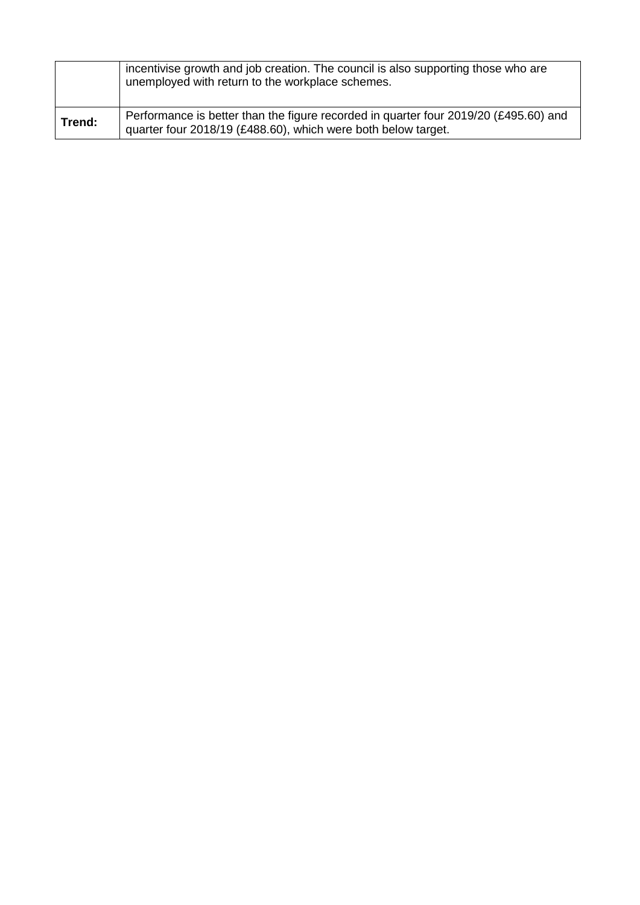|        | incentivise growth and job creation. The council is also supporting those who are<br>unemployed with return to the workplace schemes.                 |
|--------|-------------------------------------------------------------------------------------------------------------------------------------------------------|
| Trend: | Performance is better than the figure recorded in quarter four 2019/20 (£495.60) and<br>quarter four 2018/19 (£488.60), which were both below target. |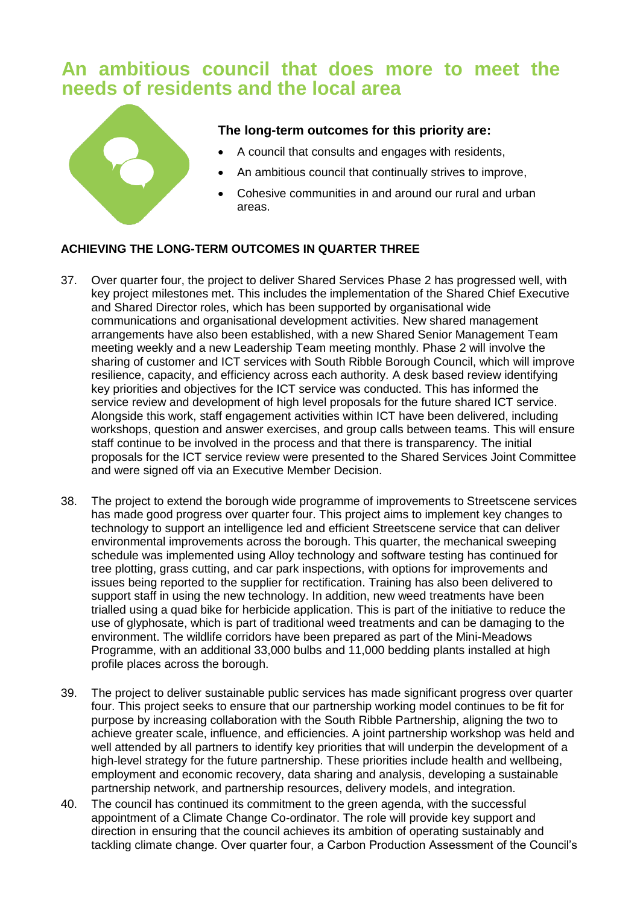## **An ambitious council that does more to meet the needs of residents and the local area**



**The long-term outcomes for this priority are:**

- A council that consults and engages with residents,
- An ambitious council that continually strives to improve,
- Cohesive communities in and around our rural and urban areas.

#### **ACHIEVING THE LONG-TERM OUTCOMES IN QUARTER THREE**

- 37. Over quarter four, the project to deliver Shared Services Phase 2 has progressed well, with key project milestones met. This includes the implementation of the Shared Chief Executive and Shared Director roles, which has been supported by organisational wide communications and organisational development activities. New shared management arrangements have also been established, with a new Shared Senior Management Team meeting weekly and a new Leadership Team meeting monthly. Phase 2 will involve the sharing of customer and ICT services with South Ribble Borough Council, which will improve resilience, capacity, and efficiency across each authority. A desk based review identifying key priorities and objectives for the ICT service was conducted. This has informed the service review and development of high level proposals for the future shared ICT service. Alongside this work, staff engagement activities within ICT have been delivered, including workshops, question and answer exercises, and group calls between teams. This will ensure staff continue to be involved in the process and that there is transparency. The initial proposals for the ICT service review were presented to the Shared Services Joint Committee and were signed off via an Executive Member Decision.
- 38. The project to extend the borough wide programme of improvements to Streetscene services has made good progress over quarter four. This project aims to implement key changes to technology to support an intelligence led and efficient Streetscene service that can deliver environmental improvements across the borough. This quarter, the mechanical sweeping schedule was implemented using Alloy technology and software testing has continued for tree plotting, grass cutting, and car park inspections, with options for improvements and issues being reported to the supplier for rectification. Training has also been delivered to support staff in using the new technology. In addition, new weed treatments have been trialled using a quad bike for herbicide application. This is part of the initiative to reduce the use of glyphosate, which is part of traditional weed treatments and can be damaging to the environment. The wildlife corridors have been prepared as part of the Mini-Meadows Programme, with an additional 33,000 bulbs and 11,000 bedding plants installed at high profile places across the borough.
- 39. The project to deliver sustainable public services has made significant progress over quarter four. This project seeks to ensure that our partnership working model continues to be fit for purpose by increasing collaboration with the South Ribble Partnership, aligning the two to achieve greater scale, influence, and efficiencies. A joint partnership workshop was held and well attended by all partners to identify key priorities that will underpin the development of a high-level strategy for the future partnership. These priorities include health and wellbeing, employment and economic recovery, data sharing and analysis, developing a sustainable partnership network, and partnership resources, delivery models, and integration.
- 40. The council has continued its commitment to the green agenda, with the successful appointment of a Climate Change Co-ordinator. The role will provide key support and direction in ensuring that the council achieves its ambition of operating sustainably and tackling climate change. Over quarter four, a Carbon Production Assessment of the Council's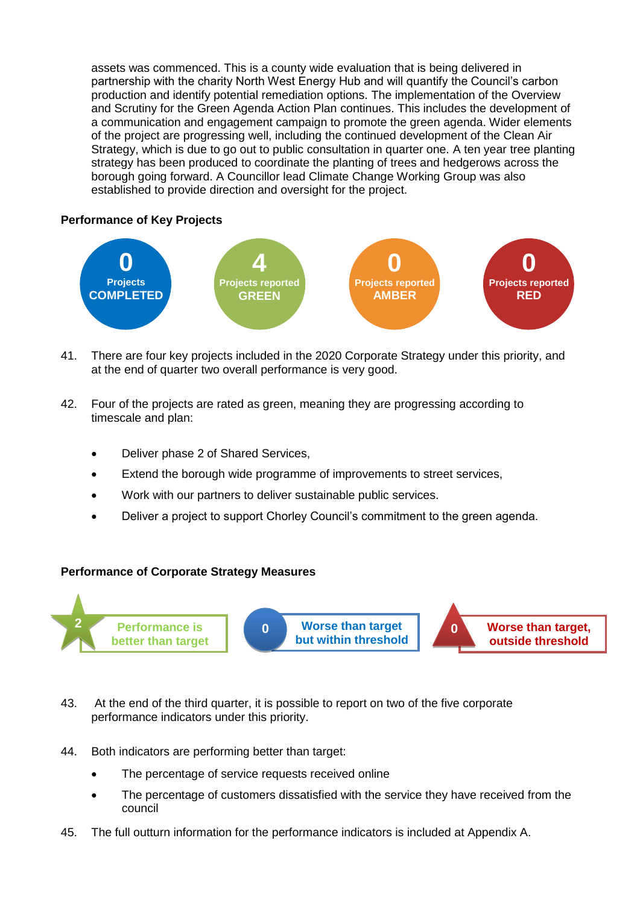assets was commenced. This is a county wide evaluation that is being delivered in partnership with the charity North West Energy Hub and will quantify the Council's carbon production and identify potential remediation options. The implementation of the Overview and Scrutiny for the Green Agenda Action Plan continues. This includes the development of a communication and engagement campaign to promote the green agenda. Wider elements of the project are progressing well, including the continued development of the Clean Air Strategy, which is due to go out to public consultation in quarter one. A ten year tree planting strategy has been produced to coordinate the planting of trees and hedgerows across the borough going forward. A Councillor lead Climate Change Working Group was also established to provide direction and oversight for the project.

#### **Performance of Key Projects**



- 41. There are four key projects included in the 2020 Corporate Strategy under this priority, and at the end of quarter two overall performance is very good.
- 42. Four of the projects are rated as green, meaning they are progressing according to timescale and plan:
	- Deliver phase 2 of Shared Services,
	- Extend the borough wide programme of improvements to street services,
	- Work with our partners to deliver sustainable public services.
	- Deliver a project to support Chorley Council's commitment to the green agenda.



- 43. At the end of the third quarter, it is possible to report on two of the five corporate performance indicators under this priority.
- 44. Both indicators are performing better than target:
	- The percentage of service requests received online
	- The percentage of customers dissatisfied with the service they have received from the council
- 45. The full outturn information for the performance indicators is included at Appendix A.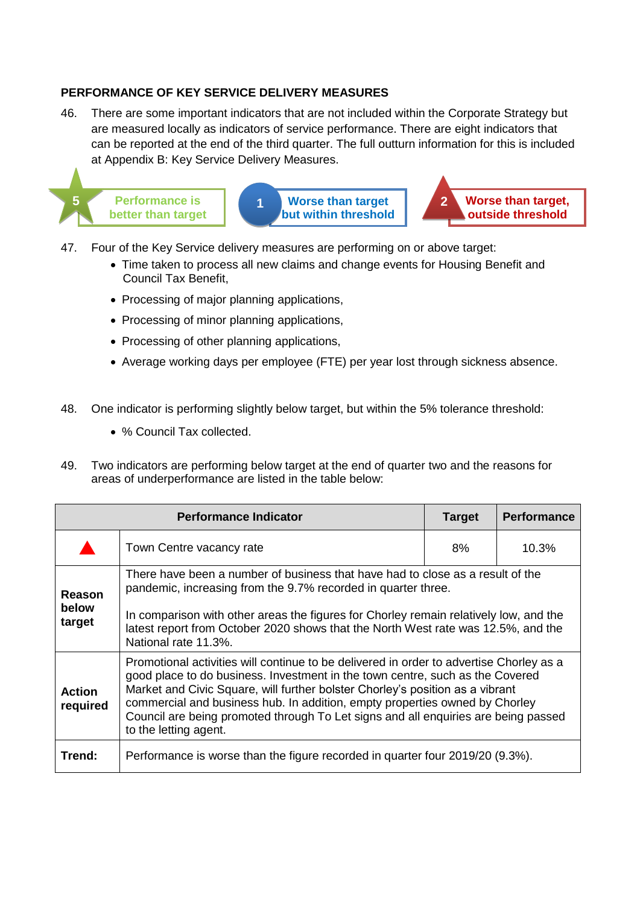#### **PERFORMANCE OF KEY SERVICE DELIVERY MEASURES**

46. There are some important indicators that are not included within the Corporate Strategy but are measured locally as indicators of service performance. There are eight indicators that can be reported at the end of the third quarter. The full outturn information for this is included at Appendix B: Key Service Delivery Measures.



- 47. Four of the Key Service delivery measures are performing on or above target:
	- Time taken to process all new claims and change events for Housing Benefit and Council Tax Benefit,
	- Processing of major planning applications,
	- Processing of minor planning applications,
	- Processing of other planning applications,
	- Average working days per employee (FTE) per year lost through sickness absence.
- 48. One indicator is performing slightly below target, but within the 5% tolerance threshold:
	- % Council Tax collected.
- 49. Two indicators are performing below target at the end of quarter two and the reasons for areas of underperformance are listed in the table below:

|                           | <b>Performance Indicator</b>                                                                                                                                                                                                                                                                                                                                                                                                                            | <b>Target</b> | <b>Performance</b> |
|---------------------------|---------------------------------------------------------------------------------------------------------------------------------------------------------------------------------------------------------------------------------------------------------------------------------------------------------------------------------------------------------------------------------------------------------------------------------------------------------|---------------|--------------------|
|                           | Town Centre vacancy rate                                                                                                                                                                                                                                                                                                                                                                                                                                | 8%            | 10.3%              |
| Reason<br>below<br>target | There have been a number of business that have had to close as a result of the<br>pandemic, increasing from the 9.7% recorded in quarter three.<br>In comparison with other areas the figures for Chorley remain relatively low, and the<br>latest report from October 2020 shows that the North West rate was 12.5%, and the<br>National rate 11.3%.                                                                                                   |               |                    |
| <b>Action</b><br>required | Promotional activities will continue to be delivered in order to advertise Chorley as a<br>good place to do business. Investment in the town centre, such as the Covered<br>Market and Civic Square, will further bolster Chorley's position as a vibrant<br>commercial and business hub. In addition, empty properties owned by Chorley<br>Council are being promoted through To Let signs and all enquiries are being passed<br>to the letting agent. |               |                    |
| Trend:                    | Performance is worse than the figure recorded in quarter four 2019/20 (9.3%).                                                                                                                                                                                                                                                                                                                                                                           |               |                    |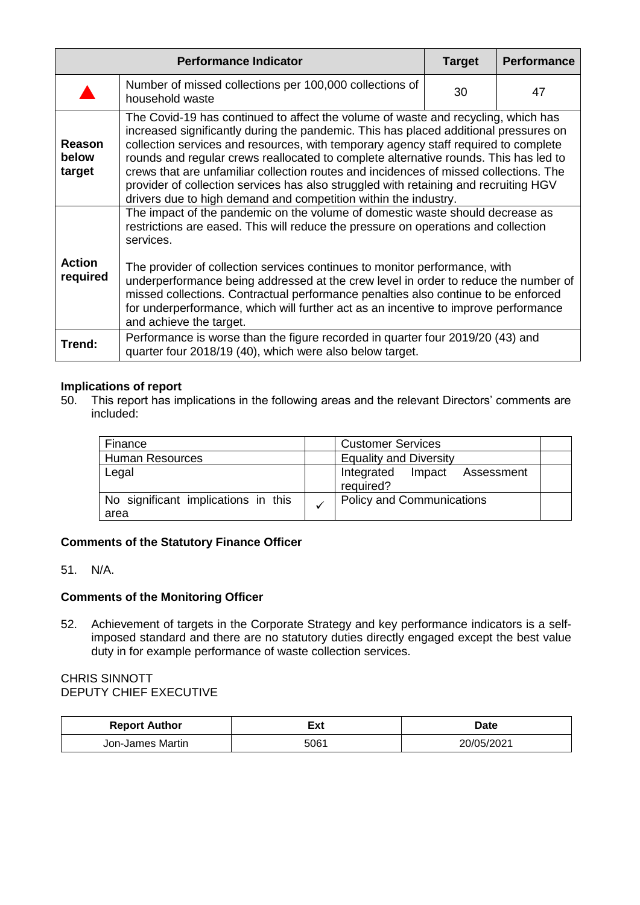|                                  | <b>Performance Indicator</b>                                                                                                                                                                                                                                                                                                                                                                                                                                                                                                                                                                                 | <b>Target</b> | <b>Performance</b> |  |  |  |
|----------------------------------|--------------------------------------------------------------------------------------------------------------------------------------------------------------------------------------------------------------------------------------------------------------------------------------------------------------------------------------------------------------------------------------------------------------------------------------------------------------------------------------------------------------------------------------------------------------------------------------------------------------|---------------|--------------------|--|--|--|
|                                  | Number of missed collections per 100,000 collections of<br>household waste                                                                                                                                                                                                                                                                                                                                                                                                                                                                                                                                   | 30            | 47                 |  |  |  |
| <b>Reason</b><br>below<br>target | The Covid-19 has continued to affect the volume of waste and recycling, which has<br>increased significantly during the pandemic. This has placed additional pressures on<br>collection services and resources, with temporary agency staff required to complete<br>rounds and regular crews reallocated to complete alternative rounds. This has led to<br>crews that are unfamiliar collection routes and incidences of missed collections. The<br>provider of collection services has also struggled with retaining and recruiting HGV<br>drivers due to high demand and competition within the industry. |               |                    |  |  |  |
| <b>Action</b><br>required        | The impact of the pandemic on the volume of domestic waste should decrease as<br>restrictions are eased. This will reduce the pressure on operations and collection<br>services.<br>The provider of collection services continues to monitor performance, with<br>underperformance being addressed at the crew level in order to reduce the number of<br>missed collections. Contractual performance penalties also continue to be enforced<br>for underperformance, which will further act as an incentive to improve performance<br>and achieve the target.                                                |               |                    |  |  |  |
| Trend:                           | Performance is worse than the figure recorded in quarter four 2019/20 (43) and<br>quarter four 2018/19 (40), which were also below target.                                                                                                                                                                                                                                                                                                                                                                                                                                                                   |               |                    |  |  |  |

## **Implications of report**<br>50. This report has im

This report has implications in the following areas and the relevant Directors' comments are included:

| Finance                                     |  | <b>Customer Services</b>                     |  |  |
|---------------------------------------------|--|----------------------------------------------|--|--|
| <b>Human Resources</b>                      |  | <b>Equality and Diversity</b>                |  |  |
| Legal                                       |  | Integrated<br>Impact Assessment<br>required? |  |  |
| No significant implications in this<br>area |  | <b>Policy and Communications</b>             |  |  |

#### **Comments of the Statutory Finance Officer**

51. N/A.

#### **Comments of the Monitoring Officer**

52. Achievement of targets in the Corporate Strategy and key performance indicators is a selfimposed standard and there are no statutory duties directly engaged except the best value duty in for example performance of waste collection services.

#### CHRIS SINNOTT DEPUTY CHIEF EXECUTIVE

| <b>Report Author</b> | ⊑xt  | Date |  |  |
|----------------------|------|------|--|--|
| Jon-James Martin     | 5061 |      |  |  |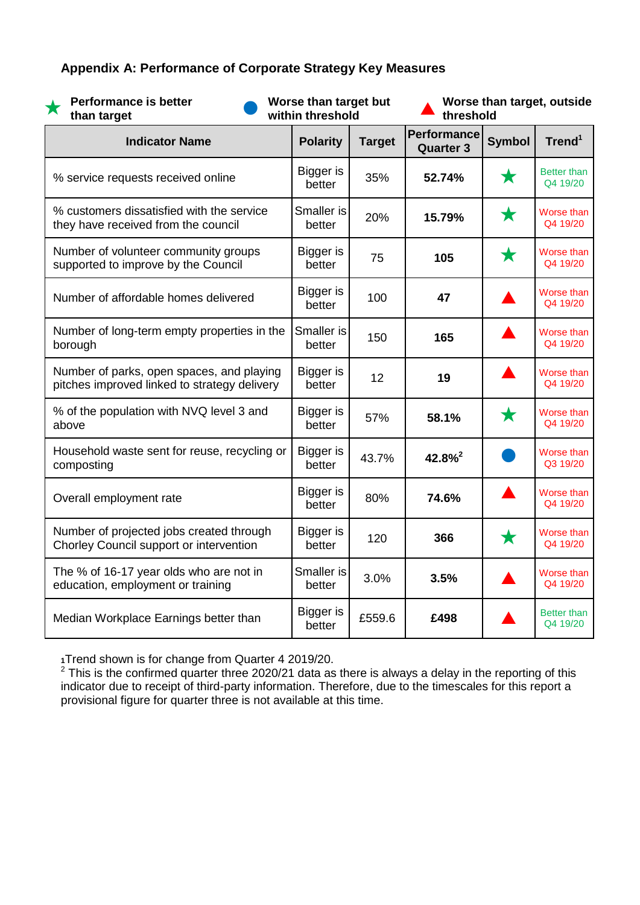### **Appendix A: Performance of Corporate Strategy Key Measures**

**Performance is better than target**

**Worse than target but within threshold**

**Worse than target, outside threshold**

| <b>Indicator Name</b>                                                                     | <b>Polarity</b>            | <b>Target</b> | Performance<br><b>Quarter 3</b> | <b>Symbol</b> | Trend <sup>1</sup>             |
|-------------------------------------------------------------------------------------------|----------------------------|---------------|---------------------------------|---------------|--------------------------------|
| % service requests received online                                                        | <b>Bigger</b> is<br>better | 35%           | 52.74%                          | $\bigstar$    | <b>Better than</b><br>Q4 19/20 |
| % customers dissatisfied with the service<br>they have received from the council          | Smaller is<br>better       | 20%           | 15.79%                          | ★             | Worse than<br>Q4 19/20         |
| Number of volunteer community groups<br>supported to improve by the Council               | Bigger is<br>better        | 75            | 105                             | ★             | Worse than<br>Q4 19/20         |
| Number of affordable homes delivered                                                      | Bigger is<br>better        | 100           | 47                              |               | Worse than<br>Q4 19/20         |
| Number of long-term empty properties in the<br>borough                                    | Smaller is<br>better       | 150           | 165                             |               | Worse than<br>Q4 19/20         |
| Number of parks, open spaces, and playing<br>pitches improved linked to strategy delivery | Bigger is<br>better        | 12            | 19                              |               | Worse than<br>Q4 19/20         |
| % of the population with NVQ level 3 and<br>above                                         | Bigger is<br>better        | 57%           | 58.1%                           | $\bigstar$    | Worse than<br>Q4 19/20         |
| Household waste sent for reuse, recycling or<br>composting                                | Bigger is<br>better        | 43.7%         | $42.8\%$ <sup>2</sup>           |               | Worse than<br>Q3 19/20         |
| Overall employment rate                                                                   | Bigger is<br>better        | 80%           | 74.6%                           |               | Worse than<br>Q4 19/20         |
| Number of projected jobs created through<br>Chorley Council support or intervention       | Bigger is<br>better        | 120           | 366                             | ★             | Worse than<br>Q4 19/20         |
| The % of 16-17 year olds who are not in<br>education, employment or training              | Smaller is<br>better       | 3.0%          | 3.5%                            |               | Worse than<br>Q4 19/20         |
| Median Workplace Earnings better than                                                     | Bigger is<br>better        | £559.6        | £498                            |               | <b>Better than</b><br>Q4 19/20 |

**<sup>1</sup>**Trend shown is for change from Quarter 4 2019/20.

 $2$  This is the confirmed quarter three 2020/21 data as there is always a delay in the reporting of this indicator due to receipt of third-party information. Therefore, due to the timescales for this report a provisional figure for quarter three is not available at this time.